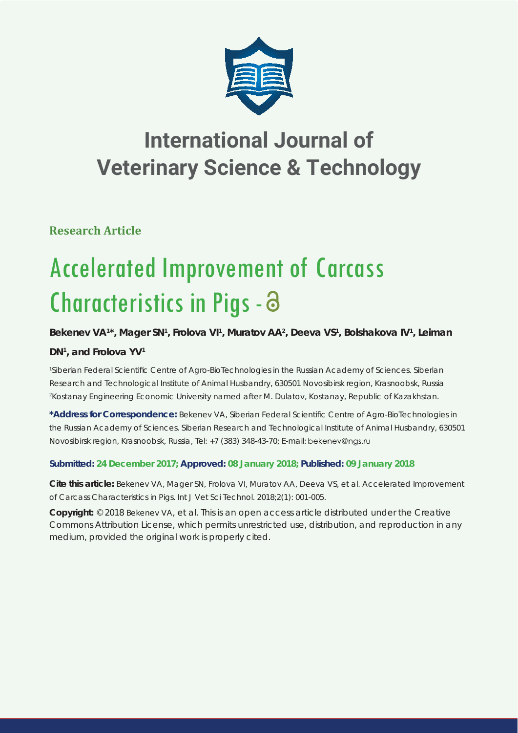

# **International Journal of Veterinary Science & Technology**

**Research Article**

# Accelerated Improvement of Carcass Characteristics in Pigs -

# Bekenev VA<sup>1\*</sup>, Mager SN<sup>1</sup>, Frolova VI<sup>1</sup>, Muratov AA<sup>2</sup>, Deeva VS<sup>1</sup>, Bolshakova IV<sup>1</sup>, Leiman

# **DN1 , and Frolova YV1**

*1 Siberian Federal Scientifi c Centre of Agro-BioTechnologies in the Russian Academy of Sciences. Siberian Research and Technological Institute of Animal Husbandry, 630501 Novosibirsk region, Krasnoobsk, Russia 2 Kostanay Engineering Economic University named after M. Dulatov, Kostanay, Republic of Kazakhstan.*

\***Address for Correspondence:** Bekenev VA, Siberian Federal Scientific Centre of Agro-BioTechnologies in the Russian Academy of Sciences. Siberian Research and Technological Institute of Animal Husbandry, 630501 Novosibirsk region, Krasnoobsk, Russia, Tel: +7 (383) 348-43-70; E-mail:

### **Submitted: 24 December 2017; Approved: 08 January 2018; Published: 09 January 2018**

**Cite this article:** Bekenev VA, Mager SN, Frolova VI, Muratov AA, Deeva VS, et al. Accelerated Improvement of Carcass Characteristics in Pigs. Int J Vet Sci Technol. 2018;2(1): 001-005.

**Copyright:** © 2018 Bekenev VA, et al. This is an open access article distributed under the Creative Commons Attribution License, which permits unrestricted use, distribution, and reproduction in any medium, provided the original work is properly cited.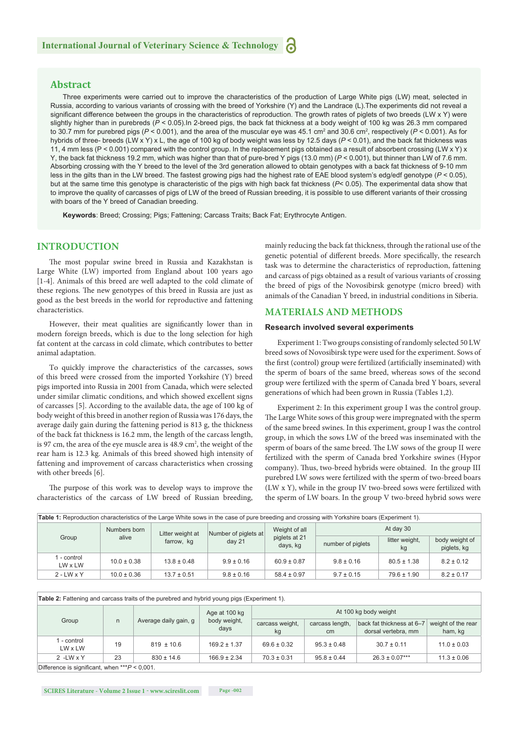#### **Abstract**

Three experiments were carried out to improve the characteristics of the production of Large White pigs (LW) meat, selected in Russia, according to various variants of crossing with the breed of Yorkshire (Y) and the Landrace (L).The experiments did not reveal a significant difference between the groups in the characteristics of reproduction. The growth rates of piglets of two breeds (LW x Y) were slightly higher than in purebreds (*P* < 0.05).In 2-breed pigs, the back fat thickness at a body weight of 100 kg was 26.3 mm compared to 30.7 mm for purebred pigs (*P* < 0.001), and the area of the muscular eye was 45.1 cm² and 30.6 cm², respectively (*P* < 0.001). As for hybrids of three- breeds (LW x Y) x L, the age of 100 kg of body weight was less by 12.5 days (*P* < 0.01), and the back fat thickness was 11, 4 mm less ( $P < 0.001$ ) compared with the control group. In the replacement pigs obtained as a result of absorbent crossing (LW x Y) x Y, the back fat thickness 19.2 mm, which was higher than that of pure-bred Y pigs (13.0 mm) (*P* < 0.001), but thinner than LW of 7.6 mm. Absorbing crossing with the Y breed to the level of the 3rd generation allowed to obtain genotypes with a back fat thickness of 9-10 mm less in the gilts than in the LW breed. The fastest growing pigs had the highest rate of ЕАЕ blood system's edg/edf genotype (*Р* < 0.05), but at the same time this genotype is characteristic of the pigs with high back fat thickness (*Р*< 0.05). The experimental data show that to improve the quality of carcasses of pigs of LW of the breed of Russian breeding, it is possible to use different variants of their crossing with boars of the Y breed of Canadian breeding.

**Keywords**: Breed; Crossing; Pigs; Fattening; Carcass Traits; Back Fat; Erythrocyte Antigen.

#### **INTRODUCTION**

The most popular swine breed in Russia and Kazakhstan is Large White (LW) imported from England about 100 years ago [1-4]. Animals of this breed are well adapted to the cold climate of these regions. The new genotypes of this breed in Russia are just as good as the best breeds in the world for reproductive and fattening characteristics.

However, their meat qualities are significantly lower than in modern foreign breeds, which is due to the long selection for high fat content at the carcass in cold climate, which contributes to better animal adaptation.

To quickly improve the characteristics of the carcasses, sows of this breed were crossed from the imported Yorkshire (Y) breed pigs imported into Russia in 2001 from Canada, which were selected under similar climatic conditions, and which showed excellent signs of carcasses [5]. According to the available data, the age of 100 kg of body weight of this breed in another region of Russia was 176 days, the average daily gain during the fattening period is 813 g, the thickness of the back fat thickness is 16.2 mm, the length of the carcass length, is 97 cm, the area of the eye muscle area is  $48.9 \text{ cm}^2$ , the weight of the rear ham is 12.3 kg. Animals of this breed showed high intensity of fattening and improvement of carcass characteristics when crossing with other breeds [6].

The purpose of this work was to develop ways to improve the characteristics of the carcass of LW breed of Russian breeding, mainly reducing the back fat thickness, through the rational use of the genetic potential of different breeds. More specifically, the research task was to determine the characteristics of reproduction, fattening and carcass of pigs obtained as a result of various variants of crossing the breed of pigs of the Novosibirsk genotype (micro breed) with animals of the Canadian Y breed, in industrial conditions in Siberia.

#### **MATERIALS AND METHODS**

#### **Research involved several experiments**

Experiment 1: Two groups consisting of randomly selected 50 LW breed sows of Novosibirsk type were used for the experiment. Sows of the first (control) group were fertilized (artificially inseminated) with the sperm of boars of the same breed, whereas sows of the second group were fertilized with the sperm of Canada bred Y boars, several generations of which had been grown in Russia (Tables 1,2).

Experiment 2: In this experiment group I was the control group. The Large White sows of this group were impregnated with the sperm of the same breed swines. In this experiment, group I was the control group, in which the sows LW of the breed was inseminated with the sperm of boars of the same breed. The LW sows of the group II were fertilized with the sperm of Canada bred Yorkshire swines (Hypor company). Thus, two-breed hybrids were obtained. In the group III purebred LW sows were fertilized with the sperm of two-breed boars (LW x Y), while in the group IV two-breed sows were fertilized with the sperm of LW boars. In the group V two-breed hybrid sows were

| <b>Table 1:</b> Reproduction characteristics of the Large White sows in the case of pure breeding and crossing with Yorkshire boars (Experiment 1). |                       |                                |                                           |                                            |                   |                      |                               |  |  |
|-----------------------------------------------------------------------------------------------------------------------------------------------------|-----------------------|--------------------------------|-------------------------------------------|--------------------------------------------|-------------------|----------------------|-------------------------------|--|--|
| Group                                                                                                                                               | Numbers born<br>alive | Litter weight at<br>farrow, kg | Number of piglets at<br>day <sub>21</sub> | Weight of all<br>piglets at 21<br>days, kg | At day 30         |                      |                               |  |  |
|                                                                                                                                                     |                       |                                |                                           |                                            | number of piglets | litter weight,<br>kg | body weight of<br>piglets, kg |  |  |
| l - control<br>LW x LW                                                                                                                              | $10.0 \pm 0.38$       | $13.8 \pm 0.48$                | $9.9 \pm 0.16$                            | $60.9 \pm 0.87$                            | $9.8 \pm 0.16$    | $80.5 \pm 1.38$      | $8.2 \pm 0.12$                |  |  |
| $2 - LW \times Y$                                                                                                                                   | $10.0 \pm 0.36$       | $13.7 \pm 0.51$                | $9.8 \pm 0.16$                            | $58.4 \pm 0.97$                            | $9.7 \pm 0.15$    | $79.6 \pm 1.90$      | $8.2 \pm 0.17$                |  |  |

| <b>Table 2:</b> Fattening and carcass traits of the purebred and hybrid young pigs (Experiment 1). |    |                       |                                       |                       |                                    |                                                  |                               |  |  |
|----------------------------------------------------------------------------------------------------|----|-----------------------|---------------------------------------|-----------------------|------------------------------------|--------------------------------------------------|-------------------------------|--|--|
| Group                                                                                              | n. | Average daily gain, g | Age at 100 kg<br>body weight,<br>days | At 100 kg body weight |                                    |                                                  |                               |  |  |
|                                                                                                    |    |                       |                                       | carcass weight,<br>kg | carcass length,<br>cm <sub>2</sub> | back fat thickness at 6-7<br>dorsal vertebra, mm | weight of the rear<br>ham, kg |  |  |
| - control<br>LW x LW                                                                               | 19 | $819 \pm 10.6$        | $169.2 \pm 1.37$                      | $69.6 \pm 0.32$       | $95.3 \pm 0.48$                    | $30.7 \pm 0.11$                                  | $11.0 \pm 0.03$               |  |  |
| $2 - LW \times Y$                                                                                  | 23 | $830 \pm 14.6$        | $166.9 \pm 2.34$                      | $70.3 \pm 0.31$       | $95.8 \pm 0.44$                    | $26.3 \pm 0.07***$                               | $11.3 \pm 0.06$               |  |  |
| $Difforoneo$ is significant when $***D < 0.001$                                                    |    |                       |                                       |                       |                                    |                                                  |                               |  |  |

Difference is significant, when \*\*\**P* < 0,001.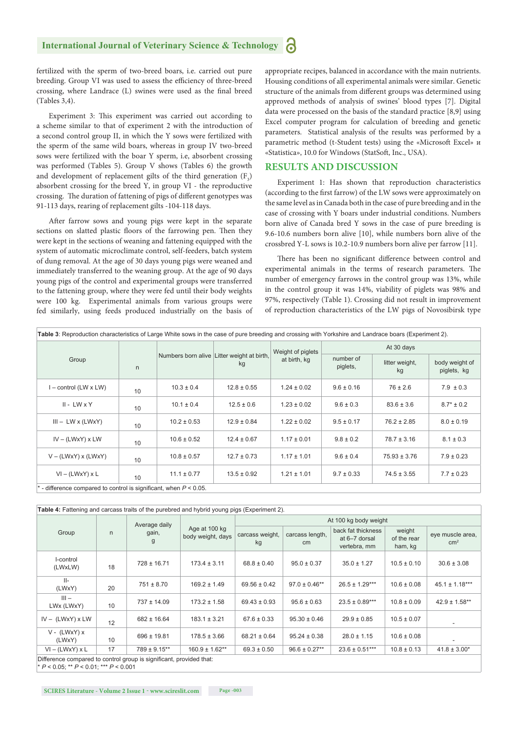fertilized with the sperm of two-breed boars, i.e. carried out pure breeding. Group VI was used to assess the efficiency of three-breed crossing, where Landrace (L) swines were used as the final breed (Tables 3,4).

Experiment 3: This experiment was carried out according to a scheme similar to that of experiment 2 with the introduction of a second control group II, in which the Y sows were fertilized with the sperm of the same wild boars, whereas in group IV two-breed sows were fertilized with the boar Y sperm, i.e, absorbent crossing was performed (Tables 5). Group V shows (Tables 6) the growth and development of replacement gilts of the third generation  $(F_3)$ absorbent crossing for the breed Y, in group VI - the reproductive crossing. The duration of fattening of pigs of different genotypes was 91-113 days, rearing of replacement gilts -104-118 days.

After farrow sows and young pigs were kept in the separate sections on slatted plastic floors of the farrowing pen. Then they were kept in the sections of weaning and fattening equipped with the system of automatic microclimate control, self-feeders, batch system of dung removal. At the age of 30 days young pigs were weaned and immediately transferred to the weaning group. At the age of 90 days young pigs of the control and experimental groups were transferred to the fattening group, where they were fed until their body weights were 100 kg. Experimental animals from various groups were fed similarly, using feeds produced industrially on the basis of appropriate recipes, balanced in accordance with the main nutrients. Housing conditions of all experimental animals were similar. Genetic structure of the animals from different groups was determined using approved methods of analysis of swines' blood types [7]. Digital data were processed on the basis of the standard practice [8,9] using Excel computer program for calculation of breeding and genetic parameters. Statistical analysis of the results was performed by a parametric method (t-Student tests) using the «Microsoft Excel» и «Statistica», 10.0 for Windows (StatSoft, Inc., USA).

#### **RESULTS AND DISCUSSION**

Experiment 1: Has shown that reproduction characteristics (according to the first farrow) of the LW sows were approximately on the same level as in Canada both in the case of pure breeding and in the case of crossing with Y boars under industrial conditions. Numbers born alive of Canada bred Y sows in the case of pure breeding is 9.6-10.6 numbers born alive [10], while numbers born alive of the сrossbred Y-L sows is 10.2-10.9 numbers born alive per farrow [11].

There has been no significant difference between control and experimental animals in the terms of research parameters. The number of emergency farrows in the control group was 13%, while in the control group it was 14%, viability of piglets was 98% and 97%, respectively (Table 1). Crossing did not result in improvement of reproduction characteristics of the LW pigs of Novosibirsk type

| Table 3: Reproduction characteristics of Large White sows in the case of pure breeding and crossing with Yorkshire and Landrace boars (Experiment 2). |    |                 |                                                  |                                   |                       |                      |                               |  |
|-------------------------------------------------------------------------------------------------------------------------------------------------------|----|-----------------|--------------------------------------------------|-----------------------------------|-----------------------|----------------------|-------------------------------|--|
|                                                                                                                                                       |    |                 | Numbers born alive Litter weight at birth,<br>kg | Weight of piglets<br>at birth, kg | At 30 days            |                      |                               |  |
| Group                                                                                                                                                 | n  |                 |                                                  |                                   | number of<br>piglets, | litter weight,<br>kg | body weight of<br>piglets, kg |  |
| $I$ – control (LW x LW)                                                                                                                               | 10 | $10.3 \pm 0.4$  | $12.8 \pm 0.55$                                  | $1.24 \pm 0.02$                   | $9.6 \pm 0.16$        | $76 \pm 2.6$         | $7.9 \pm 0.3$                 |  |
| $II - LW \times Y$                                                                                                                                    | 10 | $10.1 \pm 0.4$  | $12.5 \pm 0.6$                                   | $1.23 \pm 0.02$                   | $9.6 \pm 0.3$         | $83.6 \pm 3.6$       | $8.7* \pm 0.2$                |  |
| $III - LW \times (LW \times Y)$                                                                                                                       | 10 | $10.2 \pm 0.53$ | $12.9 \pm 0.84$                                  | $1.22 \pm 0.02$                   | $9.5 \pm 0.17$        | $76.2 \pm 2.85$      | $8.0 \pm 0.19$                |  |
| $IV - (LWxY)$ x LW                                                                                                                                    | 10 | $10.6 \pm 0.52$ | $12.4 \pm 0.67$                                  | $1.17 \pm 0.01$                   | $9.8 \pm 0.2$         | $78.7 \pm 3.16$      | $8.1 \pm 0.3$                 |  |
| $V - (LWxY) x (LWxY)$                                                                                                                                 | 10 | $10.8 \pm 0.57$ | $12.7 \pm 0.73$                                  | $1.17 \pm 1.01$                   | $9.6 \pm 0.4$         | $75.93 \pm 3.76$     | $7.9 \pm 0.23$                |  |
| $VI - (LWXY) \times L$                                                                                                                                | 10 | $11.1 \pm 0.77$ | $13.5 \pm 0.92$                                  | $1.21 \pm 1.01$                   | $9.7 \pm 0.33$        | $74.5 \pm 3.55$      | $7.7 \pm 0.23$                |  |
| - difference compared to control is significant, when $P < 0.05$ .                                                                                    |    |                 |                                                  |                                   |                       |                      |                               |  |

| Table 4: Fattening and carcass traits of the purebred and hybrid young pigs (Experiment 2).                           |    |                             |                                    |                       |                       |                                                     |                                  |                                   |  |
|-----------------------------------------------------------------------------------------------------------------------|----|-----------------------------|------------------------------------|-----------------------|-----------------------|-----------------------------------------------------|----------------------------------|-----------------------------------|--|
|                                                                                                                       |    | Average daily<br>gain,<br>g | Age at 100 kg<br>body weight, days | At 100 kg body weight |                       |                                                     |                                  |                                   |  |
| Group                                                                                                                 | n  |                             |                                    | carcass weight,<br>kg | carcass length,<br>cm | back fat thickness<br>at 6-7 dorsal<br>vertebra, mm | weight<br>of the rear<br>ham, kg | eye muscle area,<br>$\text{cm}^2$ |  |
| I-control<br>(LWxLW)                                                                                                  | 18 | $728 \pm 16.71$             | $173.4 \pm 3.11$                   | $68.8 \pm 0.40$       | $95.0 \pm 0.37$       | $35.0 \pm 1.27$                                     | $10.5 \pm 0.10$                  | $30.6 \pm 3.08$                   |  |
| $   -$<br>(LWxY)                                                                                                      | 20 | $751 \pm 8.70$              | $169.2 \pm 1.49$                   | $69.56 \pm 0.42$      | $97.0 \pm 0.46**$     | $26.5 \pm 1.29***$                                  | $10.6 \pm 0.08$                  | $45.1 \pm 1.18***$                |  |
| $III -$<br>LWx (LWxY)                                                                                                 | 10 | $737 \pm 14.09$             | $173.2 \pm 1.58$                   | $69.43 \pm 0.93$      | $95.6 \pm 0.63$       | $23.5 \pm 0.89***$                                  | $10.8 \pm 0.09$                  | $42.9 \pm 1.58**$                 |  |
| $IV - (LWxY) \times LW$                                                                                               | 12 | $682 \pm 16.64$             | $183.1 \pm 3.21$                   | $67.6 \pm 0.33$       | $95.30 \pm 0.46$      | $29.9 \pm 0.85$                                     | $10.5 \pm 0.07$                  | ٠                                 |  |
| $V - (LWxY) x$<br>(LWxY)                                                                                              | 10 | $696 \pm 19.81$             | $178.5 \pm 3.66$                   | $68.21 \pm 0.64$      | $95.24 \pm 0.38$      | $28.0 \pm 1.15$                                     | $10.6 \pm 0.08$                  |                                   |  |
| $VI - (LWXY) \times L$                                                                                                | 17 | $789 \pm 9.15***$           | $160.9 \pm 1.62**$                 | $69.3 \pm 0.50$       | $96.6 \pm 0.27**$     | $23.6 \pm 0.51***$                                  | $10.8 \pm 0.13$                  | $41.8 \pm 3.00*$                  |  |
| Difference compared to control group is significant, provided that:<br>$* P < 0.05$ ; ** $P < 0.01$ ; *** $P < 0.001$ |    |                             |                                    |                       |                       |                                                     |                                  |                                   |  |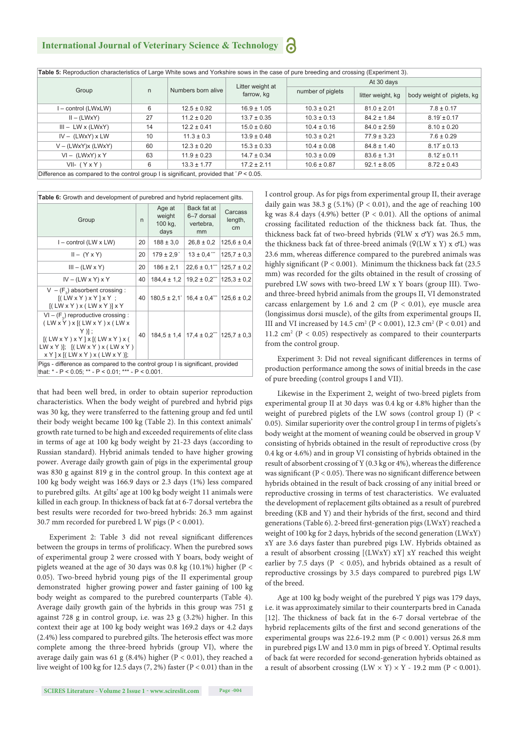**International Journal of Veterinary Science & Technology**

**Table 5:** Reproduction characteristics of Large White sows and Yorkshire sows in the case of pure breeding and crossing (Experiment 3).

|                                                                                          | n. | Numbers born alive | Litter weight at<br>farrow, kg | At 30 days        |                   |                            |  |
|------------------------------------------------------------------------------------------|----|--------------------|--------------------------------|-------------------|-------------------|----------------------------|--|
| Group                                                                                    |    |                    |                                | number of piglets | litter weight, kg | body weight of piglets, kg |  |
| l – control (LWxLW)                                                                      | 6  | $12.5 \pm 0.92$    | $16.9 \pm 1.05$                | $10.3 \pm 0.21$   | $81.0 \pm 2.01$   | $7.8 \pm 0.17$             |  |
| $II - (LWXY)$                                                                            | 27 | $11.2 \pm 0.20$    | $13.7 \pm 0.35$                | $10.3 \pm 0.13$   | $84.2 \pm 1.84$   | $8.19 \pm 0.17$            |  |
| $III - LW \times (LW \times Y)$                                                          | 14 | $12.2 \pm 0.41$    | $15.0 \pm 0.60$                | $10.4 \pm 0.16$   | $84.0 \pm 2.59$   | $8.10 \pm 0.20$            |  |
| $IV - (LWxY) \times LW$                                                                  | 10 | $11.3 \pm 0.3$     | $13.9 \pm 0.48$                | $10.3 \pm 0.21$   | $77.9 \pm 3.23$   | $7.6 \pm 0.29$             |  |
| $V - (LWxY)x (LWxY)$                                                                     | 60 | $12.3 \pm 0.20$    | $15.3 \pm 0.33$                | $10.4 \pm 0.08$   | $84.8 \pm 1.40$   | $8.17 \pm 0.13$            |  |
| $VI - (LWxY) x Y$                                                                        | 63 | $11.9 \pm 0.23$    | $14.7 \pm 0.34$                | $10.3 \pm 0.09$   | $83.6 \pm 1.31$   | $8.12 \pm 0.11$            |  |
| $VII - (Y \times Y)$                                                                     | 6  | $13.3 \pm 1.77$    | $17.2 \pm 2.11$                | $10.6 \pm 0.87$   | $92.1 \pm 8.05$   | $8.72 \pm 0.43$            |  |
| Difference as compared to the control group I is significant, provided that $P < 0.05$ . |    |                    |                                |                   |                   |                            |  |

**Table 6:** Growth and development of purebred and hybrid replacement gilts.

| Group                                                                                                                                                                                        | $\mathsf{n}$ | Age at<br>weight<br>100 kg,<br>days | Back fat at<br>6-7 dorsal<br>vertebra,<br>mm                     | Carcass<br>length,<br>cm |  |  |  |
|----------------------------------------------------------------------------------------------------------------------------------------------------------------------------------------------|--------------|-------------------------------------|------------------------------------------------------------------|--------------------------|--|--|--|
| $I$ – control (LW x LW)                                                                                                                                                                      | 20           | $188 \pm 3.0$                       | $26.8 \pm 0.2$                                                   | $125.6 \pm 0.4$          |  |  |  |
| $II - (Y \times Y)$                                                                                                                                                                          | 20           | $179 \pm 2.9$                       | $13 \pm 0.4$ "                                                   | $125,7 \pm 0,3$          |  |  |  |
| $III - (LW \times Y)$                                                                                                                                                                        | 20           | $186 \pm 2.1$                       | $22.6 \pm 0.1$ $\mid$ 125.7 $\pm$ 0.2                            |                          |  |  |  |
| $IV - (LW \times Y) \times Y$                                                                                                                                                                | 40           | $184.4 \pm 1.2$                     | $19.2 \pm 0.2$ 125.3 $\pm 0.2$                                   |                          |  |  |  |
| $V - (F3)$ absorbent crossing :<br>$[(LW \times Y) \times Y] \times Y$ :<br>$[(LW \times Y) \times (LW \times Y)] \times Y$                                                                  | 40           |                                     | $180.5 \pm 2.1$   $16.4 \pm 0.4$   $125.6 \pm 0.2$               |                          |  |  |  |
| $VI - (F3)$ reproductive crossing :<br>(LW X Y) X [(LW X Y) X (LW X)]<br>Y )] :<br>[(LWXY)XY]X[(LWXY)X]<br>$LW X Y$ )]; $[(LW X Y) X (LW X Y)$<br>$x Y$   $x$ [(LW $x Y$ ) $x$ (LW $x Y$ )]; | 40           |                                     | $184.5 \pm 1.4$   17.4 $\pm$ 0.2 <sup>**</sup>   125.7 $\pm$ 0.3 |                          |  |  |  |
| Pigs - difference as compared to the control group I is significant, provided<br>that: $*$ - P < 0.05; $**$ - P < 0.01; $***$ - P < 0.001.                                                   |              |                                     |                                                                  |                          |  |  |  |

that had been well bred, in order to obtain superior reproduction characteristics. When the body weight of purebred and hybrid pigs was 30 kg, they were transferred to the fattening group and fed until their body weight became 100 kg (Table 2). In this context animals' growth rate turned to be high and exceeded requirements of elite class in terms of age at 100 kg body weight by 21-23 days (according to Russian standard). Hybrid animals tended to have higher growing power. Average daily growth gain of pigs in the experimental group was 830 g against 819 g in the control group. In this context age at 100 kg body weight was 166.9 days or 2.3 days (1%) less compared to purebred gilts. At gilts' age at 100 kg body weight 11 animals were killed in each group. In thickness of back fat at 6-7 dorsal vertebra the best results were recorded for two-breed hybrids: 26.3 mm against 30.7 mm recorded for purebred L W pigs (P < 0.001).

Experiment 2: Table 3 did not reveal significant differences between the groups in terms of prolificacy. When the purebred sows of experimental group 2 were crossed with Y boars, body weight of piglets weaned at the age of 30 days was 0.8 kg (10.1%) higher (Р < 0.05). Two-breed hybrid young pigs of the II experimental group demonstrated higher growing power and faster gaining of 100 kg body weight as compared to the purebred counterparts (Table 4). Average daily growth gain of the hybrids in this group was 751 g against 728 g in control group, i.e. was 23 g (3.2%) higher. In this context their age at 100 kg body weight was 169.2 days or 4.2 days  $(2.4\%)$  less compared to purebred gilts. The heterosis effect was more complete among the three-breed hybrids (group VI), where the average daily gain was 61 g (8.4%) higher ( $P < 0.01$ ), they reached a live weight of 100 kg for 12.5 days  $(7, 2%)$  faster  $(P < 0.01)$  than in the I control group. As for pigs from experimental group II, their average daily gain was 38.3 g (5.1%) ( $P < 0.01$ ), and the age of reaching 100 kg was 8.4 days (4.9%) better ( $P < 0.01$ ). All the options of animal crossing facilitated reduction of the thickness back fat. Thus, the thickness back fat of two-breed hybrids (♀LW х ♂Y) was 26.5 mm, the thickness back fat of three-breed animals  $(2(LW \times Y) \times CL)$  was 23.6 mm, whereas difference compared to the purebred animals was highly significant ( $P < 0.001$ ). Minimum the thickness back fat (23.5) mm) was recorded for the gilts obtained in the result of crossing of purebred LW sows with two-breed LW x Y boars (group III). Twoand three-breed hybrid animals from the groups II, VI demonstrated carcass enlargement by 1.6 and 2 cm ( $P < 0.01$ ), eye muscle area (longissimus dorsi muscle), of the gilts from experimental groups II, III and VI increased by 14.5 cm<sup>2</sup> (P < 0.001), 12.3 cm<sup>2</sup> (P < 0.01) and 11.2 cm<sup>2</sup> ( $P < 0.05$ ) respectively as compared to their counterparts from the control group.

Experiment 3: Did not reveal significant differences in terms of production performance among the sows of initial breeds in the case of pure breeding (control groups I and VII).

Likewise in the Experiment 2, weight of two-breed piglets from experimental group II at 30 days was 0.4 kg or 4.8% higher than the weight of purebred piglets of the LW sows (control group I) (P < 0.05). Similar superiority over the control group I in terms of piglets's body weight at the moment of weaning could be observed in group V consisting of hybrids obtained in the result of reproductive cross (by 0.4 kg or 4.6%) and in group VI consisting of hybrids obtained in the result of absorbent crossing of Y (0.3 kg or 4%), whereas the difference was significant ( $P < 0.05$ ). There was no significant difference between hybrids obtained in the result of back crossing of any initial breed or reproductive crossing in terms of test characteristics. We evaluated the development of replacement gilts obtained as a result of purebred breeding (KB and Y) and their hybrids of the first, second and third generations (Table 6). 2-breed first-generation pigs (LWxY) reached a weight of 100 kg for 2 days, hybrids of the second generation (LWxY) xY are 3.6 days faster than purebred pigs LW. Hybrids obtained as a result of absorbent crossing [(LWxY) xY] xY reached this weight earlier by 7.5 days ( $P < 0.05$ ), and hybrids obtained as a result of reproductive crossings by 3.5 days compared to purebred pigs LW of the breed.

Age at 100 kg body weight of the purebred Y pigs was 179 days, i.e. it was approximately similar to their counterparts bred in Canada [12]. The thickness of back fat in the 6-7 dorsal vertebrae of the hybrid replacements gilts of the first and second generations of the experimental groups was  $22.6-19.2$  mm ( $P < 0.001$ ) versus  $26.8$  mm in purebred pigs LW and 13.0 mm in pigs of breed Y. Optimal results of back fat were recorded for second-generation hybrids obtained as a result of absorbent crossing  $(LW \times Y) \times Y$  - 19.2 mm (P < 0.001).